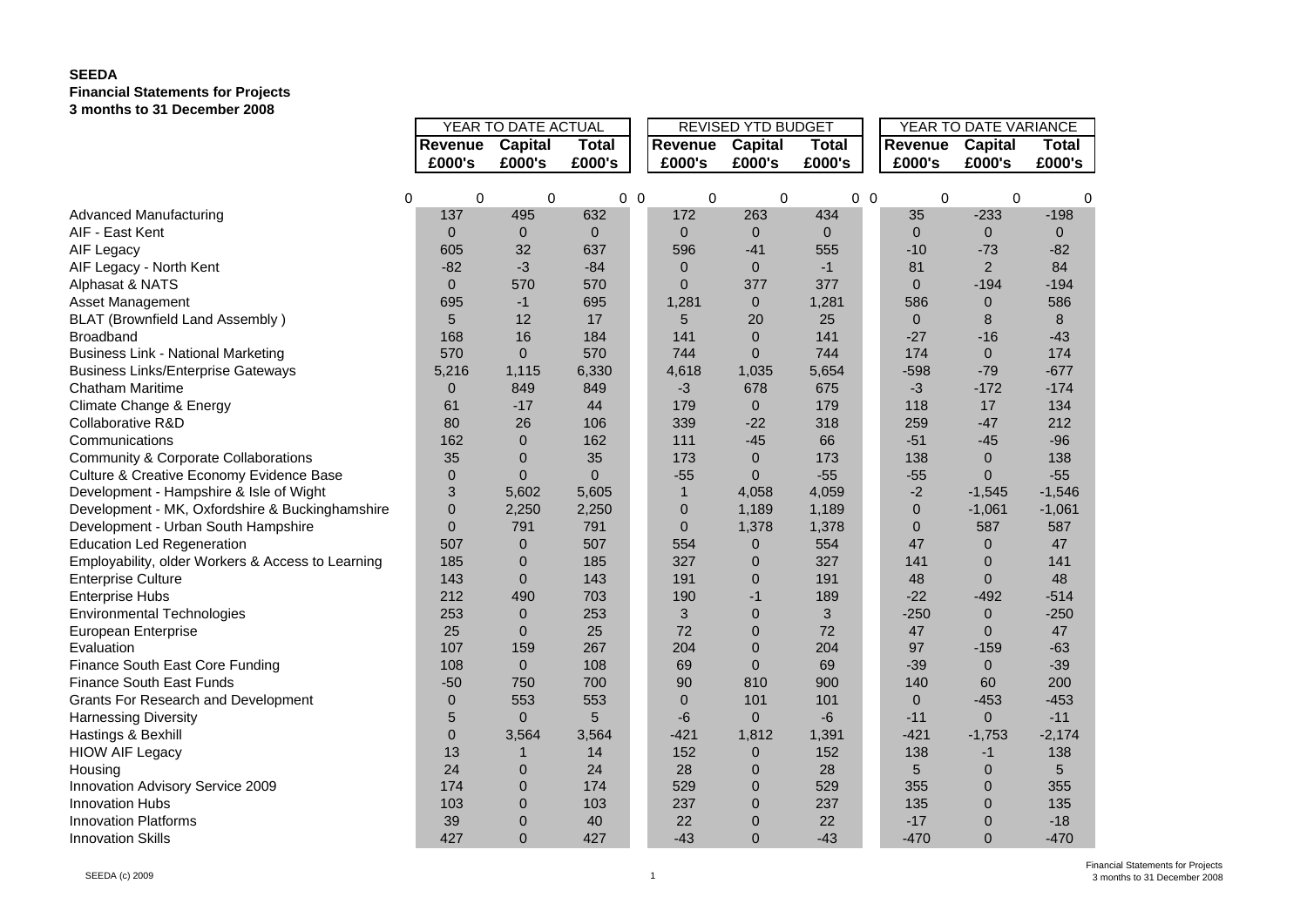## **SEEDA Financial Statements for Projects 3 months to 31 December 2008**

|                                                   |                     |                |                |                |                           |                |                |            | YEAR TO DATE VARIANCE |                |                |  |
|---------------------------------------------------|---------------------|----------------|----------------|----------------|---------------------------|----------------|----------------|------------|-----------------------|----------------|----------------|--|
|                                                   | YEAR TO DATE ACTUAL |                |                |                | <b>REVISED YTD BUDGET</b> |                |                |            |                       |                |                |  |
|                                                   | Revenue             | Capital        | <b>Total</b>   |                | Revenue                   | Capital        | <b>Total</b>   |            | Revenue               | <b>Capital</b> | <b>Total</b>   |  |
|                                                   | £000's              | £000's         | £000's         |                | £000's                    | £000's         | £000's         |            | £000's                | £000's         | £000's         |  |
|                                                   |                     |                |                |                |                           |                |                |            |                       |                |                |  |
|                                                   | 0<br>$\Omega$       | 0              |                | 0 <sub>0</sub> | 0                         | 0              |                | $0\quad 0$ | $\mathbf 0$           | 0              | 0              |  |
| <b>Advanced Manufacturing</b>                     | 137                 | 495            | 632            |                | 172                       | 263            | 434            |            | 35                    | $-233$         | $-198$         |  |
| AIF - East Kent                                   | $\overline{0}$      | $\mathbf{0}$   | $\overline{0}$ |                | $\mathbf{0}$              | $\overline{0}$ | $\overline{0}$ |            | $\mathbf{0}$          | $\mathbf 0$    | $\overline{0}$ |  |
| AIF Legacy                                        | 605                 | 32             | 637            |                | 596                       | $-41$          | 555            |            | $-10$                 | $-73$          | $-82$          |  |
| AIF Legacy - North Kent                           | $-82$               | -3             | $-84$          |                | $\mathbf{0}$              | $\mathbf{0}$   | $-1$           |            | 81                    | $\overline{2}$ | 84             |  |
| Alphasat & NATS                                   | $\Omega$            | 570            | 570            |                | $\Omega$                  | 377            | 377            |            | $\Omega$              | $-194$         | $-194$         |  |
| Asset Management                                  | 695                 | $-1$           | 695            |                | 1,281                     | $\mathbf 0$    | 1,281          |            | 586                   | 0              | 586            |  |
| <b>BLAT (Brownfield Land Assembly)</b>            | 5                   | 12             | 17             |                | 5                         | 20             | 25             |            | $\mathbf{0}$          | 8              | 8              |  |
| Broadband                                         | 168                 | 16             | 184            |                | 141                       | $\mathbf{0}$   | 141            |            | $-27$                 | $-16$          | $-43$          |  |
| <b>Business Link - National Marketing</b>         | 570                 | $\overline{0}$ | 570            |                | 744                       | $\overline{0}$ | 744            |            | 174                   | $\mathbf{0}$   | 174            |  |
| <b>Business Links/Enterprise Gateways</b>         | 5,216               | 1,115          | 6,330          |                | 4,618                     | 1,035          | 5,654          |            | $-598$                | $-79$          | $-677$         |  |
| Chatham Maritime                                  | $\mathbf{0}$        | 849            | 849            |                | $-3$                      | 678            | 675            |            | $-3$                  | $-172$         | $-174$         |  |
| Climate Change & Energy                           | 61                  | $-17$          | 44             |                | 179                       | $\overline{0}$ | 179            |            | 118                   | 17             | 134            |  |
| Collaborative R&D                                 | 80                  | 26             | 106            |                | 339                       | $-22$          | 318            |            | 259                   | $-47$          | 212            |  |
| Communications                                    | 162                 | $\Omega$       | 162            |                | 111                       | $-45$          | 66             |            | $-51$                 | $-45$          | $-96$          |  |
| Community & Corporate Collaborations              | 35                  | $\mathbf 0$    | 35             |                | 173                       | $\pmb{0}$      | 173            |            | 138                   | 0              | 138            |  |
| Culture & Creative Economy Evidence Base          | $\overline{0}$      | $\overline{0}$ | $\Omega$       |                | $-55$                     | $\overline{0}$ | $-55$          |            | $-55$                 | $\Omega$       | $-55$          |  |
| Development - Hampshire & Isle of Wight           | 3                   | 5,602          | 5,605          |                | $\mathbf{1}$              | 4,058          | 4,059          |            | $-2$                  | $-1,545$       | $-1,546$       |  |
| Development - MK, Oxfordshire & Buckinghamshire   | $\Omega$            | 2,250          | 2,250          |                | $\mathbf 0$               | 1,189          | 1,189          |            | $\mathbf{0}$          | $-1,061$       | $-1,061$       |  |
| Development - Urban South Hampshire               | $\overline{0}$      | 791            | 791            |                | $\mathbf{0}$              | 1,378          | 1,378          |            | $\mathbf{0}$          | 587            | 587            |  |
| <b>Education Led Regeneration</b>                 | 507                 | $\mathbf{0}$   | 507            |                | 554                       | $\mathbf 0$    | 554            |            | 47                    | $\mathbf{0}$   | 47             |  |
| Employability, older Workers & Access to Learning | 185                 | $\overline{0}$ | 185            |                | 327                       | 0              | 327            |            | 141                   | $\overline{0}$ | 141            |  |
| <b>Enterprise Culture</b>                         | 143                 | $\overline{0}$ | 143            |                | 191                       | 0              | 191            |            | 48                    | $\Omega$       | 48             |  |
| <b>Enterprise Hubs</b>                            | 212                 | 490            | 703            |                | 190                       | $-1$           | 189            |            | $-22$                 | $-492$         | $-514$         |  |
| <b>Environmental Technologies</b>                 | 253                 | $\mathbf 0$    | 253            |                | 3                         | 0              | 3              |            | $-250$                | $\pmb{0}$      | $-250$         |  |
| European Enterprise                               | 25                  | $\overline{0}$ | 25             |                | 72                        | $\overline{0}$ | 72             |            | 47                    | $\Omega$       | 47             |  |
| Evaluation                                        | 107                 | 159            | 267            |                | 204                       | $\overline{0}$ | 204            |            | 97                    | $-159$         | $-63$          |  |
| Finance South East Core Funding                   | 108                 | $\overline{0}$ | 108            |                | 69                        | $\mathbf{0}$   | 69             |            | $-39$                 | $\mathbf{0}$   | $-39$          |  |
| <b>Finance South East Funds</b>                   | $-50$               | 750            | 700            |                | 90                        | 810            | 900            |            | 140                   | 60             | 200            |  |
| Grants For Research and Development               | $\mathbf 0$         | 553            | 553            |                | $\mathbf{0}$              | 101            | 101            |            | $\mathbf{0}$          | $-453$         | $-453$         |  |
| <b>Harnessing Diversity</b>                       | 5                   | $\overline{0}$ | 5              |                | $-6$                      | $\Omega$       | $-6$           |            | $-11$                 | $\overline{0}$ | $-11$          |  |
| Hastings & Bexhill                                | $\mathbf{0}$        | 3,564          | 3,564          |                | $-421$                    | 1,812          | 1,391          |            | $-421$                | $-1,753$       | $-2,174$       |  |
| <b>HIOW AIF Legacy</b>                            | 13                  | 1              | 14             |                | 152                       | 0              | 152            |            | 138                   | $-1$           | 138            |  |
| Housing                                           | 24                  | $\overline{0}$ | 24             |                | 28                        | 0              | 28             |            | 5                     | $\overline{0}$ | 5              |  |
| Innovation Advisory Service 2009                  | 174                 | $\overline{0}$ | 174            |                | 529                       | $\overline{0}$ | 529            |            | 355                   | $\Omega$       | 355            |  |
| Innovation Hubs                                   | 103                 | $\overline{0}$ | 103            |                | 237                       | $\overline{0}$ | 237            |            | 135                   | $\overline{0}$ | 135            |  |
| <b>Innovation Platforms</b>                       | 39                  | $\overline{0}$ | 40             |                | 22                        | 0              | 22             |            | $-17$                 | 0              | $-18$          |  |
|                                                   |                     |                |                |                |                           |                | $-43$          |            |                       | $\Omega$       |                |  |
| <b>Innovation Skills</b>                          | 427                 | $\overline{0}$ | 427            |                | $-43$                     | $\overline{0}$ |                |            | $-470$                |                | $-470$         |  |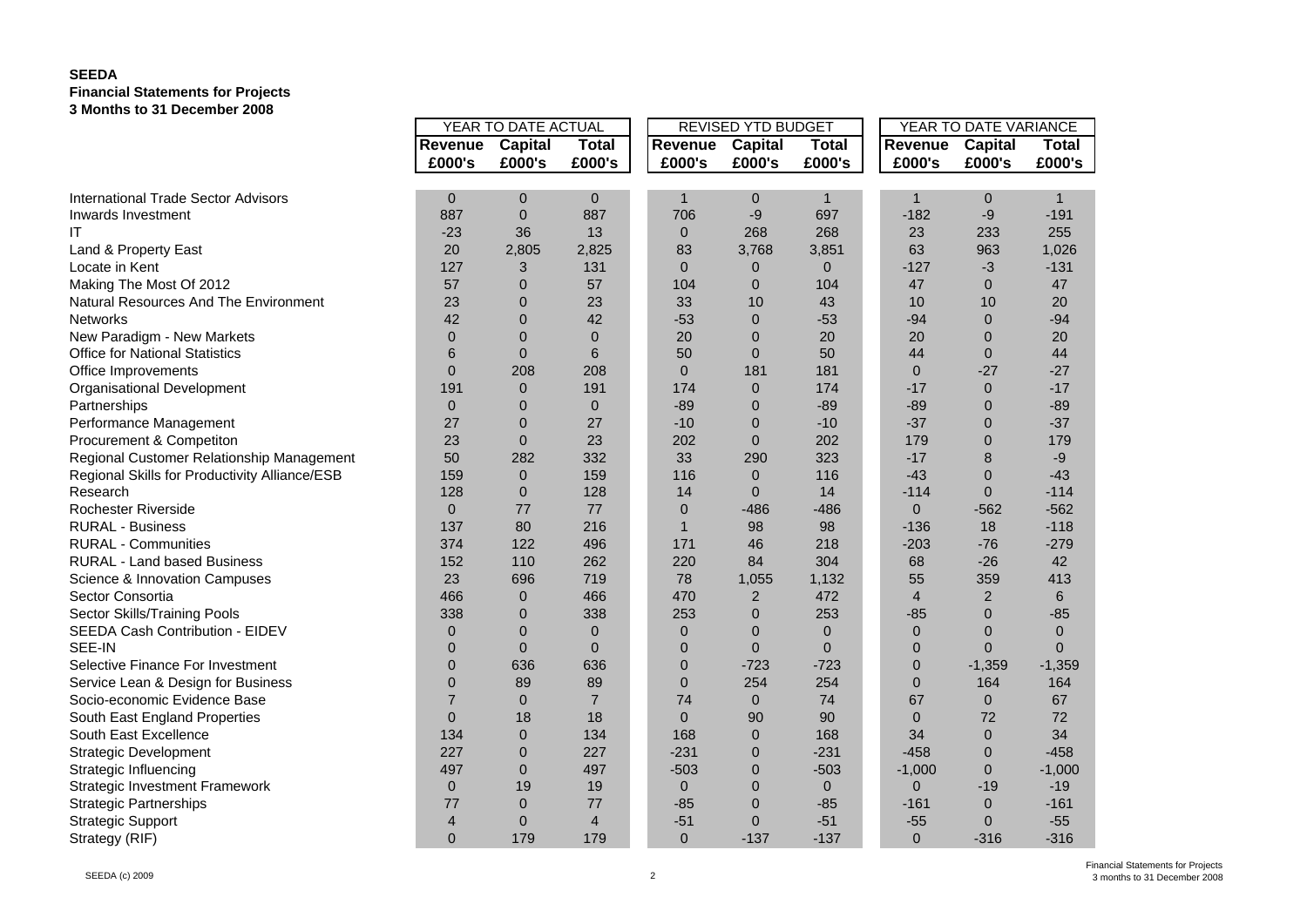## **SEEDA Financial Statements for Projects 3 Months to 31 December 2008**

|                                               | YEAR TO DATE ACTUAL |                |                |                | REVISED YTD BUDGET |                | YEAR TO DATE VARIANCE |                |              |  |
|-----------------------------------------------|---------------------|----------------|----------------|----------------|--------------------|----------------|-----------------------|----------------|--------------|--|
|                                               | Revenue             | Capital        | <b>Total</b>   | Revenue        | <b>Capital</b>     | <b>Total</b>   | Revenue               | Capital        | <b>Total</b> |  |
|                                               | £000's              | £000's         | £000's         | £000's         | £000's             | £000's         | £000's                | £000's         | £000's       |  |
|                                               |                     |                |                |                |                    |                |                       |                |              |  |
| <b>International Trade Sector Advisors</b>    | 0                   | $\mathbf 0$    | $\mathbf 0$    | $\mathbf 1$    | 0                  | 1              | 1                     | $\mathbf 0$    | $\mathbf 1$  |  |
| Inwards Investment                            | 887                 | $\mathbf{0}$   | 887            | 706            | -9                 | 697            | $-182$                | $-9$           | $-191$       |  |
| ΙT                                            | $-23$               | 36             | 13             | $\mathbf{0}$   | 268                | 268            | 23                    | 233            | 255          |  |
| Land & Property East                          | 20                  | 2,805          | 2,825          | 83             | 3,768              | 3,851          | 63                    | 963            | 1,026        |  |
| Locate in Kent                                | 127                 | 3              | 131            | $\Omega$       | 0                  | $\overline{0}$ | $-127$                | $-3$           | $-131$       |  |
| Making The Most Of 2012                       | 57                  | $\overline{0}$ | 57             | 104            | $\overline{0}$     | 104            | 47                    | $\Omega$       | 47           |  |
| Natural Resources And The Environment         | 23                  | $\mathbf 0$    | 23             | 33             | 10                 | 43             | 10                    | 10             | 20           |  |
| <b>Networks</b>                               | 42                  | $\Omega$       | 42             | $-53$          | $\mathbf{0}$       | $-53$          | $-94$                 | $\mathbf 0$    | $-94$        |  |
| New Paradigm - New Markets                    | $\overline{0}$      | $\Omega$       | $\mathbf{0}$   | 20             | 0                  | 20             | 20                    | 0              | 20           |  |
| <b>Office for National Statistics</b>         | 6                   | $\overline{0}$ | 6              | 50             | $\mathbf{0}$       | 50             | 44                    | $\mathbf 0$    | 44           |  |
| Office Improvements                           | $\Omega$            | 208            | 208            | $\Omega$       | 181                | 181            | $\Omega$              | $-27$          | $-27$        |  |
| Organisational Development                    | 191                 | $\mathbf{0}$   | 191            | 174            | $\pmb{0}$          | 174            | $-17$                 | $\mathbf 0$    | $-17$        |  |
| Partnerships                                  | $\overline{0}$      | $\Omega$       | $\mathbf{0}$   | $-89$          | $\overline{0}$     | $-89$          | $-89$                 | $\overline{0}$ | $-89$        |  |
| Performance Management                        | 27                  | $\overline{0}$ | 27             | $-10$          | $\overline{0}$     | $-10$          | $-37$                 | $\mathbf 0$    | $-37$        |  |
| Procurement & Competiton                      | 23                  | $\mathbf{0}$   | 23             | 202            | $\mathbf{0}$       | 202            | 179                   | $\mathbf 0$    | 179          |  |
| Regional Customer Relationship Management     | 50                  | 282            | 332            | 33             | 290                | 323            | $-17$                 | 8              | -9           |  |
| Regional Skills for Productivity Alliance/ESB | 159                 | $\mathbf{0}$   | 159            | 116            | $\mathbf{0}$       | 116            | $-43$                 | $\mathbf 0$    | $-43$        |  |
| Research                                      | 128                 | $\overline{0}$ | 128            | 14             | $\Omega$           | 14             | $-114$                | $\mathbf 0$    | $-114$       |  |
| <b>Rochester Riverside</b>                    | $\overline{0}$      | 77             | 77             | $\mathbf{0}$   | $-486$             | $-486$         | $\overline{0}$        | $-562$         | $-562$       |  |
| <b>RURAL - Business</b>                       | 137                 | 80             | 216            | $\mathbf{1}$   | 98                 | 98             | $-136$                | 18             | $-118$       |  |
| <b>RURAL - Communities</b>                    | 374                 | 122            | 496            | 171            | 46                 | 218            | $-203$                | $-76$          | $-279$       |  |
| <b>RURAL - Land based Business</b>            | 152                 | 110            | 262            | 220            | 84                 | 304            | 68                    | $-26$          | 42           |  |
| Science & Innovation Campuses                 | 23                  | 696            | 719            | 78             | 1,055              | 1,132          | 55                    | 359            | 413          |  |
| Sector Consortia                              | 466                 | $\mathbf{0}$   | 466            | 470            | $\overline{2}$     | 472            | $\overline{4}$        | $\overline{2}$ | 6            |  |
| Sector Skills/Training Pools                  | 338                 | $\Omega$       | 338            | 253            | $\overline{0}$     | 253            | $-85$                 | $\mathbf 0$    | $-85$        |  |
| SEEDA Cash Contribution - EIDEV               | $\overline{0}$      | $\Omega$       | $\mathbf{0}$   | $\Omega$       | $\overline{0}$     | $\overline{0}$ | $\Omega$              | $\overline{0}$ | $\Omega$     |  |
| SEE-IN                                        | $\overline{0}$      | $\Omega$       | $\mathbf{0}$   | $\overline{0}$ | $\Omega$           | $\mathbf{0}$   | $\mathbf{0}$          | $\Omega$       | $\Omega$     |  |
| Selective Finance For Investment              | $\overline{0}$      | 636            | 636            | $\overline{0}$ | $-723$             | $-723$         | $\mathbf{0}$          | $-1,359$       | $-1,359$     |  |
| Service Lean & Design for Business            | $\overline{0}$      | 89             | 89             | $\overline{0}$ | 254                | 254            | $\mathbf{0}$          | 164            | 164          |  |
| Socio-economic Evidence Base                  | $\overline{7}$      | $\Omega$       | $\overline{7}$ | 74             | $\mathbf 0$        | 74             | 67                    | $\mathbf{0}$   | 67           |  |
| South East England Properties                 | $\overline{0}$      | 18             | 18             | $\Omega$       | 90                 | 90             | $\mathbf{0}$          | 72             | 72           |  |
| South East Excellence                         | 134                 | $\mathbf{0}$   | 134            | 168            | $\mathbf 0$        | 168            | 34                    | $\mathbf{0}$   | 34           |  |
| <b>Strategic Development</b>                  | 227                 | $\overline{0}$ | 227            | $-231$         | 0                  | $-231$         | $-458$                | $\overline{0}$ | $-458$       |  |
| Strategic Influencing                         | 497                 | $\mathbf{0}$   | 497            | $-503$         | $\overline{0}$     | $-503$         | $-1,000$              | $\overline{0}$ | $-1,000$     |  |
| <b>Strategic Investment Framework</b>         | $\mathbf 0$         | 19             | 19             | $\mathbf{0}$   | $\overline{0}$     | $\mathbf 0$    | $\overline{0}$        | $-19$          | $-19$        |  |
| <b>Strategic Partnerships</b>                 | 77                  | $\overline{0}$ | 77             | $-85$          | $\overline{0}$     | $-85$          | $-161$                | $\overline{0}$ | $-161$       |  |
| <b>Strategic Support</b>                      | 4                   | $\mathbf 0$    | $\overline{4}$ | $-51$          | $\Omega$           | $-51$          | $-55$                 | $\mathbf 0$    | $-55$        |  |
| Strategy (RIF)                                | $\overline{0}$      | 179            | 179            | $\mathbf{0}$   | $-137$             | $-137$         | $\mathbf{0}$          | $-316$         | $-316$       |  |
|                                               |                     |                |                |                |                    |                |                       |                |              |  |